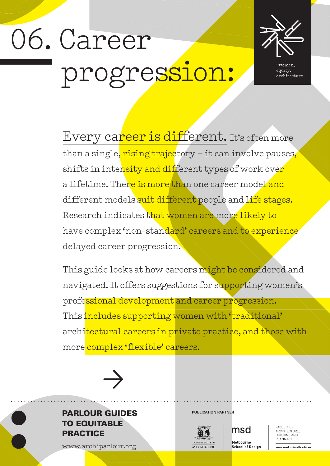# 06. Career progression:



equity, architecture

Every career is different. It's often more than a single, rising trajectory - it can involve pauses, shifts in intensity and different types of work over a lifetime. There is more than one career model and different models suit different people and life stages. Research indicates that women are more likely to have complex 'non-standard' careers and to experience delayed career progression.

This guide looks at how careers might be considered and navigated. It offers suggestions for supporting women's professional development and career progression. This includes supporting women with 'traditional' architectural careers in private practice, and those with more complex 'flexible' careers.



#### **PARLOUR GUIDES** PUBLICATION PARTNER TO EQUITABLE **PRACTICE**

www.archiparlour.org



msd

Melbourne **School of Design**  FACULTY OF<br>ARCHITECTURE. BUILDING AND PLANNING

www.msd.unimelb.edu.au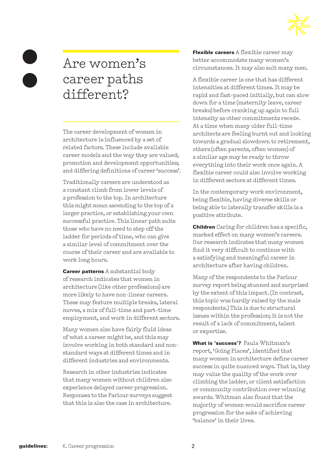

## Are women's career paths different?

The career development of women in architecture is influenced by a set of related factors. These include available career models and the way they are valued; promotion and development opportunities; and differing definitions of career 'success'.

Traditionally careers are understood as a constant climb from lower levels of a profession to the top. In architecture this might mean ascending to the top of a larger practice, or establishing your own successful practice. This linear path suits those who have no need to step off the ladder for periods of time, who can give a similar level of commitment over the course of their career and are available to work long hours.

**Career patterns** A substantial body of research indicates that women in architecture (like other professions) are more likely to have non-linear careers. These may feature multiple breaks, lateral moves, a mix of full-time and part-time employment, and work in different sectors.

Many women also have fairly fluid ideas of what a career might be, and this may involve working in both standard and nonstandard ways at different times and in different industries and environments.

Research in other industries indicates that many women without children also experience delayed career progression. Responses to the Parlour surveys suggest that this is also the case in architecture.

Flexible careers A flexible career may better accommodate many women's circumstances. It may also suit many men.

A flexible career is one that has different intensities at different times. It may be rapid and fast-paced initially, but can slow down for a time (maternity leave, career breaks) before cranking up again to full intensity as other commitments recede. At a time when many older full-time architects are feeling burnt out and looking towards a gradual slowdown to retirement, others (often parents, often women) of a similar age may be ready to throw everything into their work once again. A flexible career could also involve working in different sectors at different times.

In the contemporary work environment, being flexible, having diverse skills or being able to laterally transfer skills is a positive attribute.

Children Caring for children has a specific, marked effect on many women's careers. Our research indicates that many women find it very difficult to continue with a satisfying and meaningful career in architecture after having children.

Many of the respondents to the Parlour survey report being stunned and surprised by the extent of this impact. (In contrast, this topic was hardly raised by the male respondents.) This is due to structural issues within the profession; it is not the result of a lack of commitment, talent or expertise.

What is 'success'? Paula Whitman's report, 'Going Places', identified that many women in architecture define career success in quite nuanced ways. That is, they may value the quality of the work over climbing the ladder, or client satisfaction or community contribution over winning awards. Whitman also found that the majority of women would sacrifice career progression for the sake of achieving 'balance' in their lives.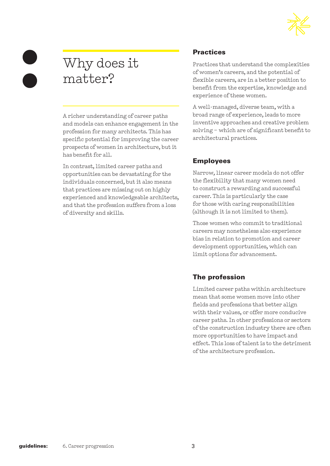

## Why does it matter?

A richer understanding of career paths and models can enhance engagement in the profession for many architects. This has specific potential for improving the career prospects of women in architecture, but it has benefit for all.

In contrast, limited career paths and opportunities can be devastating for the individuals concerned, but it also means that practices are missing out on highly experienced and knowledgeable architects, and that the profession suffers from a loss of diversity and skills.

#### **Practices**

Practices that understand the complexities of women's careers, and the potential of flexible careers, are in a better position to benefit from the expertise, knowledge and experience of these women.

A well-managed, diverse team, with a broad range of experience, leads to more inventive approaches and creative problem solving – which are of significant benefit to architectural practices.

#### Employees

Narrow, linear career models do not offer the flexibility that many women need to construct a rewarding and successful career. This is particularly the case for those with caring responsibilities (although it is not limited to them).

Those women who commit to traditional careers may nonetheless also experience bias in relation to promotion and career development opportunities, which can limit options for advancement.

#### The profession

Limited career paths within architecture mean that some women move into other fields and professions that better align with their values, or offer more conducive career paths. In other professions or sectors of the construction industry there are often more opportunities to have impact and effect. This loss of talent is to the detriment of the architecture profession.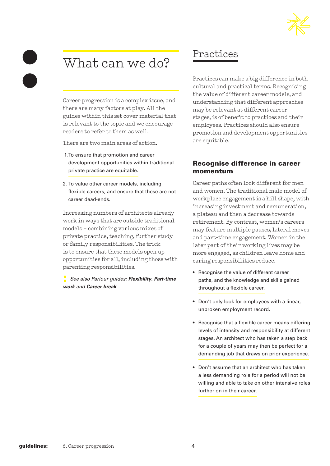## Practices

Practices can make a big difference in both cultural and practical terms. Recognising the value of different career models, and understanding that different approaches may be relevant at different career stages, is of benefit to practices and their employees. Practices should also ensure promotion and development opportunities are equitable.

#### Recognise difference in career momentum

Career paths often look different for men and women. The traditional male model of workplace engagement is a hill shape, with increasing investment and remuneration, a plateau and then a decrease towards retirement. By contrast, women's careers may feature multiple pauses, lateral moves and part-time engagement. Women in the later part of their working lives may be more engaged, as children leave home and caring responsibilities reduce.

- Recognise the value of different career paths, and the knowledge and skills gained throughout a flexible career.
- Don't only look for employees with a linear, unbroken employment record.
- Recognise that a flexible career means differing levels of intensity and responsibility at different stages. An architect who has taken a step back for a couple of years may then be perfect for a demanding job that draws on prior experience.
- Don't assume that an architect who has taken a less demanding role for a period will not be willing and able to take on other intensive roles further on in their career.

## What can we do?

Career progression is a complex issue, and there are many factors at play. All the guides within this set cover material that is relevant to the topic and we encourage readers to refer to them as well.

There are two main areas of action.

- 1.To ensure that promotion and career development opportunities within traditional private practice are equitable.
- 2. To value other career models, including flexible careers, and ensure that these are not career dead-ends.

Increasing numbers of architects already work in ways that are outside traditional models – combining various mixes of private practice, teaching, further study or family responsibilities. The trick is to ensure that these models open up opportunities for all, including those with parenting responsibilities.

**:** *See also Parlour guides: Flexibility, Part-time work and Career break.*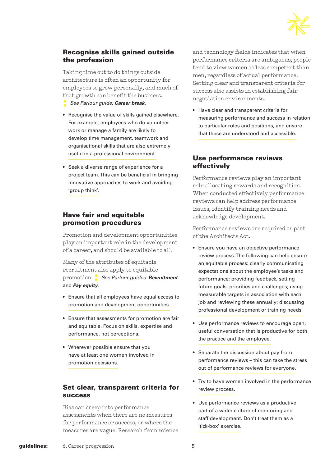

#### Recognise skills gained outside the profession

Taking time out to do things outside architecture is often an opportunity for employees to grow personally, and much of that growth can benefit the business.

- **:** *See Parlour guide: Career break*.
- Recognise the value of skills gained elsewhere. For example, employees who do volunteer work or manage a family are likely to develop time management, teamwork and organisational skills that are also extremely useful in a professional environment.
- Seek a diverse range of experience for a project team. This can be beneficial in bringing innovative approaches to work and avoiding 'group think'.

#### Have fair and equitable promotion procedures

Promotion and development opportunities play an important role in the development of a career, and should be available to all.

Many of the attributes of equitable recruitment also apply to equitable promotion. **:** *See Parlour guides: Recruitment*  and *Pay equity*.

- Ensure that all employees have equal access to promotion and development opportunities.
- Ensure that assessments for promotion are fair and equitable. Focus on skills, expertise and performance, not perceptions.
- Wherever possible ensure that you have at least one women involved in promotion decisions.

#### Set clear, transparent criteria for success

Bias can creep into performance assessments when there are no measures for performance or success, or where the measures are vague. Research from science

and technology fields indicates that when performance criteria are ambiguous, people tend to view women as less competent than men, regardless of actual performance. Setting clear and transparent criteria for success also assists in establishing fair negotiation environments.

• Have clear and transparent criteria for measuring performance and success in relation to particular roles and positions, and ensure that these are understood and accessible.

#### Use performance reviews effectively

Performance reviews play an important role allocating rewards and recognition. When conducted effectively performance reviews can help address performance issues, identify training needs and acknowledge development.

Performance reviews are required as part of the Architects Act.

- Ensure you have an objective performance review process. The following can help ensure an equitable process: clearly communicating expectations about the employee's tasks and performance; providing feedback, setting future goals, priorities and challenges; using measurable targets in association with each job and reviewing these annually; discussing professional development or training needs.
- Use performance reviews to encourage open, useful conversation that is productive for both the practice and the employee.
- Separate the discussion about pay from performance reviews – this can take the stress out of performance reviews for everyone.
- Try to have women involved in the performance review process.
- Use performance reviews as a productive part of a wider culture of mentoring and staff development. Don't treat them as a 'tick-box' exercise.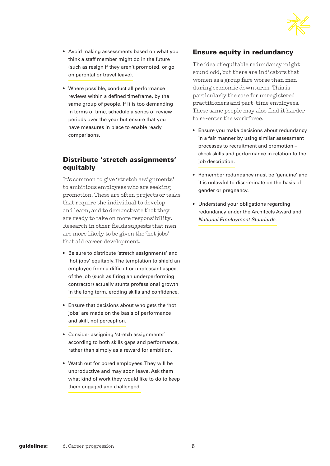

- Avoid making assessments based on what you think a staff member might do in the future (such as resign if they aren't promoted, or go on parental or travel leave).
- Where possible, conduct all performance reviews within a defined timeframe, by the same group of people. If it is too demanding in terms of time, schedule a series of review periods over the year but ensure that you have measures in place to enable ready comparisons.

#### Distribute 'stretch assignments' equitably

It's common to give 'stretch assignments' to ambitious employees who are seeking promotion. These are often projects or tasks that require the individual to develop and learn, and to demonstrate that they are ready to take on more responsibility. Research in other fields suggests that men are more likely to be given the 'hot jobs' that aid career development.

- Be sure to distribute 'stretch assignments' and 'hot jobs' equitably. The temptation to shield an employee from a difficult or unpleasant aspect of the job (such as firing an underperforming contractor) actually stunts professional growth in the long term, eroding skills and confidence.
- Ensure that decisions about who gets the 'hot jobs' are made on the basis of performance and skill, not perception.
- Consider assigning 'stretch assignments' according to both skills gaps and performance, rather than simply as a reward for ambition.
- Watch out for bored employees. They will be unproductive and may soon leave. Ask them what kind of work they would like to do to keep them engaged and challenged.

#### Ensure equity in redundancy

The idea of equitable redundancy might sound odd, but there are indicators that women as a group fare worse than men during economic downturns. This is particularly the case for unregistered practitioners and part-time employees. These same people may also find it harder to re-enter the workforce.

- Ensure you make decisions about redundancy in a fair manner by using similar assessment processes to recruitment and promotion – check skills and performance in relation to the job description.
- Remember redundancy must be 'genuine' and it is unlawful to discriminate on the basis of gender or pregnancy.
- Understand your obligations regarding redundancy under the Architects Award and *National Employment Standards*.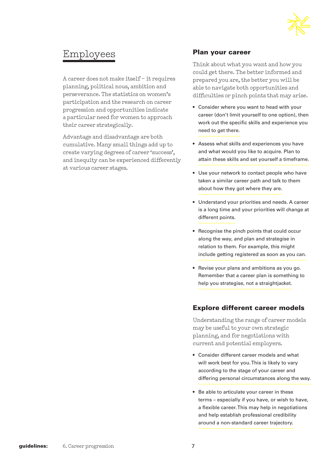

### Employees

A career does not make itself – it requires planning, political nous, ambition and perseverance. The statistics on women's participation and the research on career progression and opportunities indicate a particular need for women to approach their career strategically.

Advantage and disadvantage are both cumulative. Many small things add up to create varying degrees of career 'success', and inequity can be experienced differently at various career stages.

#### Plan your career

Think about what you want and how you could get there. The better informed and prepared you are, the better you will be able to navigate both opportunities and difficulties or pinch points that may arise.

- Consider where you want to head with your career (don't limit yourself to one option), then work out the specific skills and experience you need to get there.
- Assess what skills and experiences you have and what would you like to acquire. Plan to attain these skills and set yourself a timeframe.
- Use your network to contact people who have taken a similar career path and talk to them about how they got where they are.
- Understand your priorities and needs. A career is a long time and your priorities will change at different points.
- Recognise the pinch points that could occur along the way, and plan and strategise in relation to them. For example, this might include getting registered as soon as you can.
- Revise your plans and ambitions as you go. Remember that a career plan is something to help you strategise, not a straightjacket.

#### Explore different career models

Understanding the range of career models may be useful to your own strategic planning, and for negotiations with current and potential employers.

- Consider different career models and what will work best for you. This is likely to vary according to the stage of your career and differing personal circumstances along the way.
- Be able to articulate your career in these terms – especially if you have, or wish to have, a flexible career. This may help in negotiations and help establish professional credibility around a non-standard career trajectory.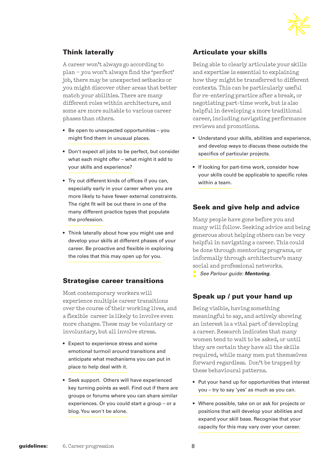

#### Think laterally

A career won't always go according to plan – you won't always find the 'perfect' job, there may be unexpected setbacks or you might discover other areas that better match your abilities. There are many different roles within architecture, and some are more suitable to various career phases than others.

- Be open to unexpected opportunities you might find them in unusual places.
- Don't expect all jobs to be perfect, but consider what each might offer – what might it add to your skills and experience?
- Try out different kinds of offices if you can, especially early in your career when you are more likely to have fewer external constraints. The right fit will be out there in one of the many different practice types that populate the profession.
- Think laterally about how you might use and develop your skills at different phases of your career. Be proactive and flexible in exploring the roles that this may open up for you.

#### Strategise career transitions

Most contemporary workers will experience multiple career transitions over the course of their working lives, and a flexible career is likely to involve even more changes. These may be voluntary or involuntary, but all involve stress.

- Expect to experience stress and some emotional turmoil around transitions and anticipate what mechanisms you can put in place to help deal with it.
- Seek support. Others will have experienced key turning points as well. Find out if there are groups or forums where you can share similar experiences. Or you could start a group – or a blog. You won't be alone.

#### Articulate your skills

Being able to clearly articulate your skills and expertise is essential to explaining how they might be transferred to different contexts. This can be particularly useful for re-entering practice after a break, or negotiating part-time work, but is also helpful in developing a more traditional career, including navigating performance reviews and promotions.

- Understand your skills, abilities and experience, and develop ways to discuss these outside the specifics of particular projects.
- If looking for part-time work, consider how your skills could be applicable to specific roles within a team.

#### Seek and give help and advice

Many people have gone before you and many will follow. Seeking advice and being generous about helping others can be very helpful in navigating a career. This could be done through mentoring programs, or informally through architecture's many social and professional networks.

#### Speak up / put your hand up

Being visible, having something meaningful to say, and actively showing an interest is a vital part of developing a career. Research indicates that many women tend to wait to be asked, or until they are certain they have all the skills required, while many men put themselves forward regardless. Don't be trapped by these behavioural patterns.

- Put your hand up for opportunities that interest you – try to say 'yes' as much as you can.
- Where possible, take on or ask for projects or positions that will develop your abilities and expand your skill base. Recognise that your capacity for this may vary over your career.

**<sup>:</sup>** *See Parlour guide: Mentoring.*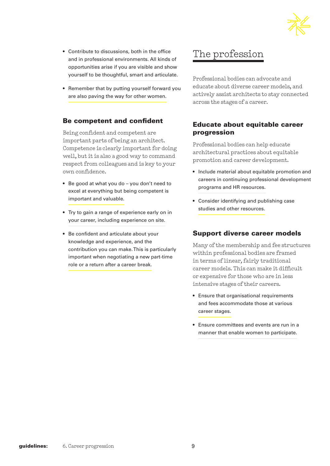• Contribute to discussions, both in the office The profession

> Professional bodies can advocate and educate about diverse career models, and actively assist architects to stay connected across the stages of a career.

#### Educate about equitable career progression

Professional bodies can help educate architectural practices about equitable promotion and career development.

- Include material about equitable promotion and careers in continuing professional development programs and HR resources.
- Consider identifying and publishing case studies and other resources.

#### Support diverse career models

Many of the membership and fee structures within professional bodies are framed in terms of linear, fairly traditional career models. This can make it difficult or expensive for those who are in less intensive stages of their careers.

- Ensure that organisational requirements and fees accommodate those at various career stages.
- Ensure committees and events are run in a manner that enable women to participate.

and in professional environments. All kinds of opportunities arise if you are visible and show yourself to be thoughtful, smart and articulate.

• Remember that by putting yourself forward you are also paving the way for other women.

#### Be competent and confident

Being confident and competent are important parts of being an architect. Competence is clearly important for doing well, but it is also a good way to command respect from colleagues and is key to your own confidence.

- Be good at what you do you don't need to excel at everything but being competent is important and valuable.
- Try to gain a range of experience early on in your career, including experience on site.
- Be confident and articulate about your knowledge and experience, and the contribution you can make. This is particularly important when negotiating a new part-time role or a return after a career break.